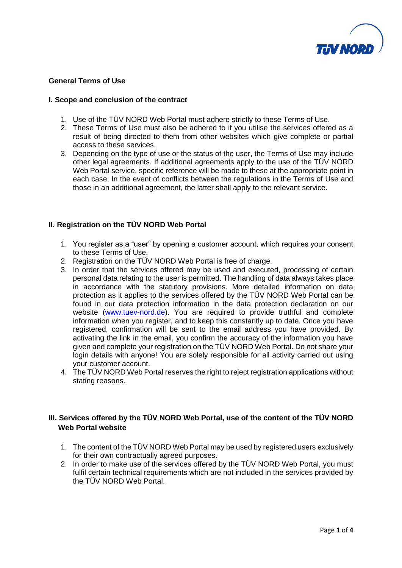

### **General Terms of Use**

#### **I. Scope and conclusion of the contract**

- 1. Use of the TÜV NORD Web Portal must adhere strictly to these Terms of Use.
- 2. These Terms of Use must also be adhered to if you utilise the services offered as a result of being directed to them from other websites which give complete or partial access to these services.
- 3. Depending on the type of use or the status of the user, the Terms of Use may include other legal agreements. If additional agreements apply to the use of the TÜV NORD Web Portal service, specific reference will be made to these at the appropriate point in each case. In the event of conflicts between the regulations in the Terms of Use and those in an additional agreement, the latter shall apply to the relevant service.

### **II. Registration on the TÜV NORD Web Portal**

- 1. You register as a "user" by opening a customer account, which requires your consent to these Terms of Use.
- 2. Registration on the TÜV NORD Web Portal is free of charge.
- 3. In order that the services offered may be used and executed, processing of certain personal data relating to the user is permitted. The handling of data always takes place in accordance with the statutory provisions. More detailed information on data protection as it applies to the services offered by the TÜV NORD Web Portal can be found in our data protection information in the data protection declaration on our website [\(www.tuev-nord.de\)](http://www.tuev-nord.de/). You are required to provide truthful and complete information when you register, and to keep this constantly up to date. Once you have registered, confirmation will be sent to the email address you have provided. By activating the link in the email, you confirm the accuracy of the information you have given and complete your registration on the TÜV NORD Web Portal. Do not share your login details with anyone! You are solely responsible for all activity carried out using your customer account.
- 4. The TÜV NORD Web Portal reserves the right to reject registration applications without stating reasons.

# **III. Services offered by the TÜV NORD Web Portal, use of the content of the TÜV NORD Web Portal website**

- 1. The content of the TÜV NORD Web Portal may be used by registered users exclusively for their own contractually agreed purposes.
- 2. In order to make use of the services offered by the TÜV NORD Web Portal, you must fulfil certain technical requirements which are not included in the services provided by the TÜV NORD Web Portal.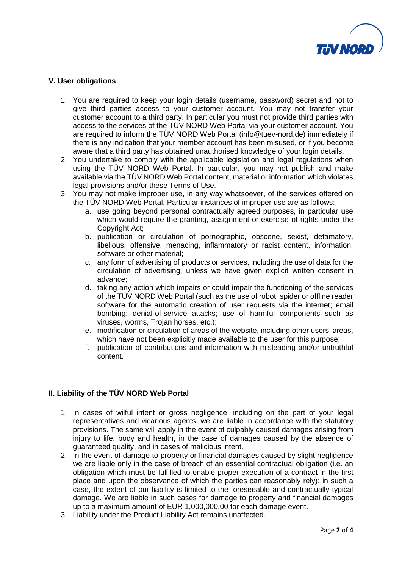

## **V. User obligations**

- 1. You are required to keep your login details (username, password) secret and not to give third parties access to your customer account. You may not transfer your customer account to a third party. In particular you must not provide third parties with access to the services of the TÜV NORD Web Portal via your customer account. You are required to inform the TÜV NORD Web Portal (info@tuev-nord.de) immediately if there is any indication that your member account has been misused, or if you become aware that a third party has obtained unauthorised knowledge of your login details.
- 2. You undertake to comply with the applicable legislation and legal regulations when using the TÜV NORD Web Portal. In particular, you may not publish and make available via the TÜV NORD Web Portal content, material or information which violates legal provisions and/or these Terms of Use.
- 3. You may not make improper use, in any way whatsoever, of the services offered on the TÜV NORD Web Portal. Particular instances of improper use are as follows:
	- a. use going beyond personal contractually agreed purposes, in particular use which would require the granting, assignment or exercise of rights under the Copyright Act;
	- b. publication or circulation of pornographic, obscene, sexist, defamatory, libellous, offensive, menacing, inflammatory or racist content, information, software or other material;
	- c. any form of advertising of products or services, including the use of data for the circulation of advertising, unless we have given explicit written consent in advance;
	- d. taking any action which impairs or could impair the functioning of the services of the TÜV NORD Web Portal (such as the use of robot, spider or offline reader software for the automatic creation of user requests via the internet; email bombing; denial-of-service attacks; use of harmful components such as viruses, worms, Trojan horses, etc.);
	- e. modification or circulation of areas of the website, including other users' areas, which have not been explicitly made available to the user for this purpose:
	- f. publication of contributions and information with misleading and/or untruthful content.

## **II. Liability of the TÜV NORD Web Portal**

- 1. In cases of wilful intent or gross negligence, including on the part of your legal representatives and vicarious agents, we are liable in accordance with the statutory provisions. The same will apply in the event of culpably caused damages arising from injury to life, body and health, in the case of damages caused by the absence of guaranteed quality, and in cases of malicious intent.
- 2. In the event of damage to property or financial damages caused by slight negligence we are liable only in the case of breach of an essential contractual obligation (i.e. an obligation which must be fulfilled to enable proper execution of a contract in the first place and upon the observance of which the parties can reasonably rely); in such a case, the extent of our liability is limited to the foreseeable and contractually typical damage. We are liable in such cases for damage to property and financial damages up to a maximum amount of EUR 1,000,000.00 for each damage event.
- 3. Liability under the Product Liability Act remains unaffected.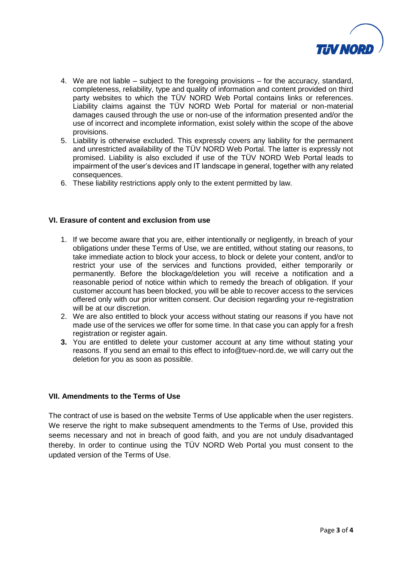

- 4. We are not liable subject to the foregoing provisions for the accuracy, standard, completeness, reliability, type and quality of information and content provided on third party websites to which the TÜV NORD Web Portal contains links or references. Liability claims against the TÜV NORD Web Portal for material or non-material damages caused through the use or non-use of the information presented and/or the use of incorrect and incomplete information, exist solely within the scope of the above provisions.
- 5. Liability is otherwise excluded. This expressly covers any liability for the permanent and unrestricted availability of the TÜV NORD Web Portal. The latter is expressly not promised. Liability is also excluded if use of the TÜV NORD Web Portal leads to impairment of the user's devices and IT landscape in general, together with any related consequences.
- 6. These liability restrictions apply only to the extent permitted by law.

## **VI. Erasure of content and exclusion from use**

- 1. If we become aware that you are, either intentionally or negligently, in breach of your obligations under these Terms of Use, we are entitled, without stating our reasons, to take immediate action to block your access, to block or delete your content, and/or to restrict your use of the services and functions provided, either temporarily or permanently. Before the blockage/deletion you will receive a notification and a reasonable period of notice within which to remedy the breach of obligation. If your customer account has been blocked, you will be able to recover access to the services offered only with our prior written consent. Our decision regarding your re-registration will be at our discretion.
- 2. We are also entitled to block your access without stating our reasons if you have not made use of the services we offer for some time. In that case you can apply for a fresh registration or register again.
- **3.** You are entitled to delete your customer account at any time without stating your reasons. If you send an email to this effect to info@tuev-nord.de, we will carry out the deletion for you as soon as possible.

## **VII. Amendments to the Terms of Use**

The contract of use is based on the website Terms of Use applicable when the user registers. We reserve the right to make subsequent amendments to the Terms of Use, provided this seems necessary and not in breach of good faith, and you are not unduly disadvantaged thereby. In order to continue using the TÜV NORD Web Portal you must consent to the updated version of the Terms of Use.